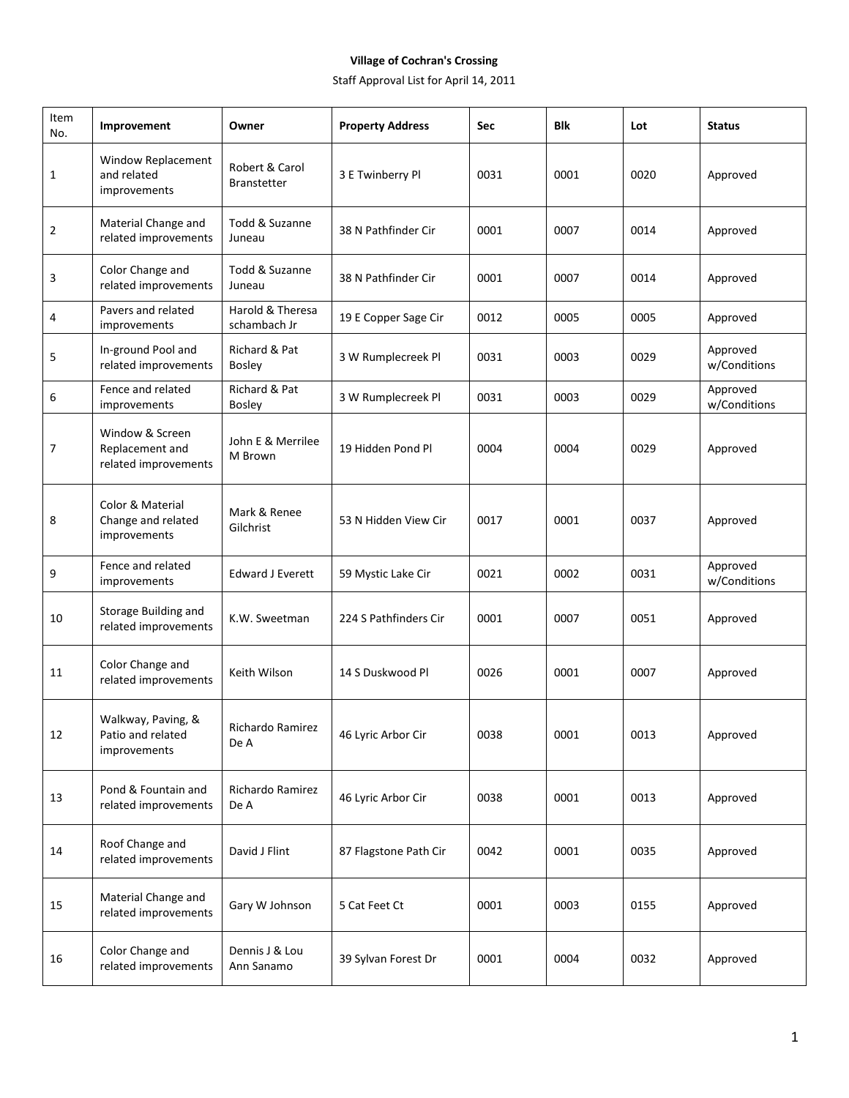## **Village of Cochran's Crossing**

Staff Approval List for April 14, 2011

| Item<br>No. | Improvement                                                | Owner                                | <b>Property Address</b> | Sec  | Blk  | Lot  | <b>Status</b>            |
|-------------|------------------------------------------------------------|--------------------------------------|-------------------------|------|------|------|--------------------------|
| 1           | Window Replacement<br>and related<br>improvements          | Robert & Carol<br><b>Branstetter</b> | 3 E Twinberry Pl        | 0031 | 0001 | 0020 | Approved                 |
| 2           | Material Change and<br>related improvements                | Todd & Suzanne<br>Juneau             | 38 N Pathfinder Cir     | 0001 | 0007 | 0014 | Approved                 |
| 3           | Color Change and<br>related improvements                   | Todd & Suzanne<br>Juneau             | 38 N Pathfinder Cir     | 0001 | 0007 | 0014 | Approved                 |
| 4           | Pavers and related<br>improvements                         | Harold & Theresa<br>schambach Jr     | 19 E Copper Sage Cir    | 0012 | 0005 | 0005 | Approved                 |
| 5           | In-ground Pool and<br>related improvements                 | Richard & Pat<br><b>Bosley</b>       | 3 W Rumplecreek Pl      | 0031 | 0003 | 0029 | Approved<br>w/Conditions |
| 6           | Fence and related<br>improvements                          | Richard & Pat<br><b>Bosley</b>       | 3 W Rumplecreek Pl      | 0031 | 0003 | 0029 | Approved<br>w/Conditions |
| 7           | Window & Screen<br>Replacement and<br>related improvements | John E & Merrilee<br>M Brown         | 19 Hidden Pond Pl       | 0004 | 0004 | 0029 | Approved                 |
| 8           | Color & Material<br>Change and related<br>improvements     | Mark & Renee<br>Gilchrist            | 53 N Hidden View Cir    | 0017 | 0001 | 0037 | Approved                 |
| 9           | Fence and related<br>improvements                          | <b>Edward J Everett</b>              | 59 Mystic Lake Cir      | 0021 | 0002 | 0031 | Approved<br>w/Conditions |
| 10          | Storage Building and<br>related improvements               | K.W. Sweetman                        | 224 S Pathfinders Cir   | 0001 | 0007 | 0051 | Approved                 |
| 11          | Color Change and<br>related improvements                   | Keith Wilson                         | 14 S Duskwood Pl        | 0026 | 0001 | 0007 | Approved                 |
| 12          | Walkway, Paving, &<br>Patio and related<br>improvements    | Richardo Ramirez<br>De A             | 46 Lyric Arbor Cir      | 0038 | 0001 | 0013 | Approved                 |
| 13          | Pond & Fountain and<br>related improvements                | Richardo Ramirez<br>De A             | 46 Lyric Arbor Cir      | 0038 | 0001 | 0013 | Approved                 |
| 14          | Roof Change and<br>related improvements                    | David J Flint                        | 87 Flagstone Path Cir   | 0042 | 0001 | 0035 | Approved                 |
| 15          | Material Change and<br>related improvements                | Gary W Johnson                       | 5 Cat Feet Ct           | 0001 | 0003 | 0155 | Approved                 |
| 16          | Color Change and<br>related improvements                   | Dennis J & Lou<br>Ann Sanamo         | 39 Sylvan Forest Dr     | 0001 | 0004 | 0032 | Approved                 |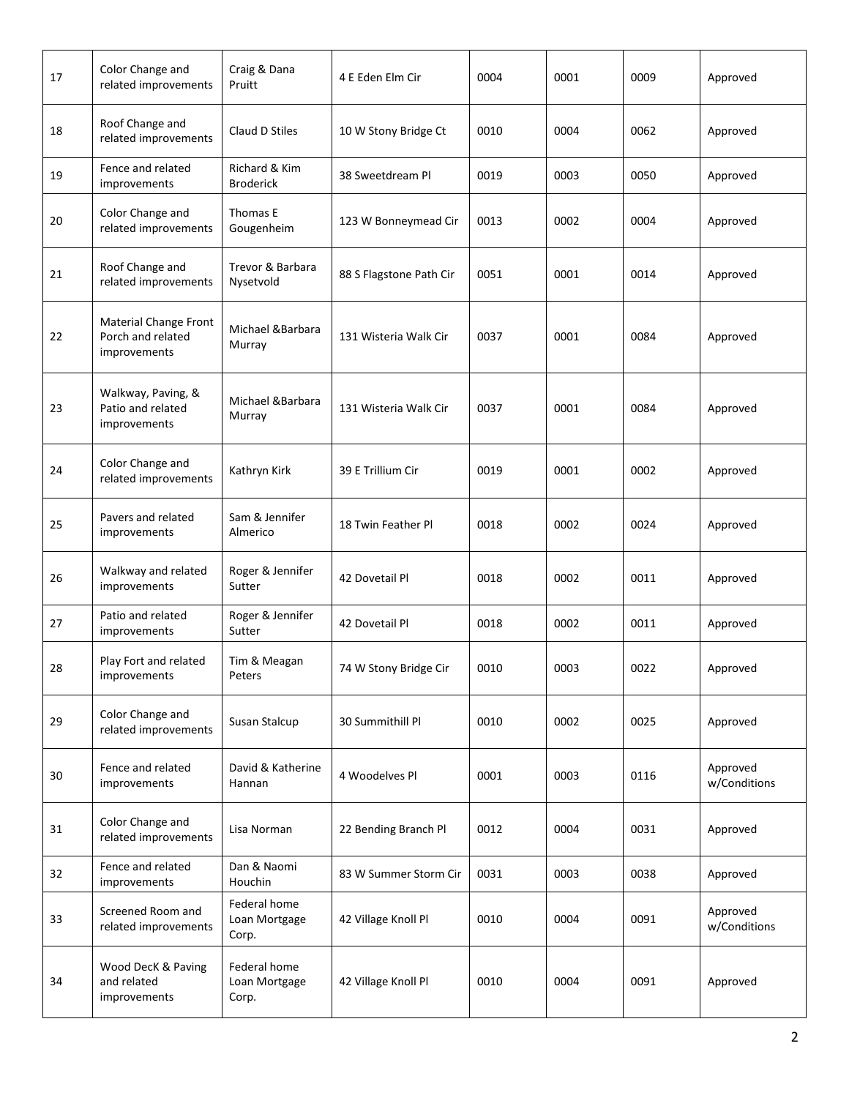| 17 | Color Change and<br>related improvements                          | Craig & Dana<br>Pruitt                 | 4 E Eden Elm Cir        | 0004 | 0001 | 0009 | Approved                 |
|----|-------------------------------------------------------------------|----------------------------------------|-------------------------|------|------|------|--------------------------|
| 18 | Roof Change and<br>related improvements                           | Claud D Stiles                         | 10 W Stony Bridge Ct    | 0010 | 0004 | 0062 | Approved                 |
| 19 | Fence and related<br>improvements                                 | Richard & Kim<br><b>Broderick</b>      | 38 Sweetdream Pl        | 0019 | 0003 | 0050 | Approved                 |
| 20 | Color Change and<br>related improvements                          | Thomas E<br>Gougenheim                 | 123 W Bonneymead Cir    | 0013 | 0002 | 0004 | Approved                 |
| 21 | Roof Change and<br>related improvements                           | Trevor & Barbara<br>Nysetvold          | 88 S Flagstone Path Cir | 0051 | 0001 | 0014 | Approved                 |
| 22 | Material Change Front<br>Porch and related<br><i>improvements</i> | Michael &Barbara<br>Murray             | 131 Wisteria Walk Cir   | 0037 | 0001 | 0084 | Approved                 |
| 23 | Walkway, Paving, &<br>Patio and related<br>improvements           | Michael &Barbara<br>Murray             | 131 Wisteria Walk Cir   | 0037 | 0001 | 0084 | Approved                 |
| 24 | Color Change and<br>related improvements                          | Kathryn Kirk                           | 39 E Trillium Cir       | 0019 | 0001 | 0002 | Approved                 |
| 25 | Pavers and related<br>improvements                                | Sam & Jennifer<br>Almerico             | 18 Twin Feather Pl      | 0018 | 0002 | 0024 | Approved                 |
| 26 | Walkway and related<br>improvements                               | Roger & Jennifer<br>Sutter             | 42 Dovetail Pl          | 0018 | 0002 | 0011 | Approved                 |
| 27 | Patio and related<br>improvements                                 | Roger & Jennifer<br>Sutter             | 42 Dovetail Pl          | 0018 | 0002 | 0011 | Approved                 |
| 28 | Play Fort and related<br>improvements                             | Tim & Meagan<br>Peters                 | 74 W Stony Bridge Cir   | 0010 | 0003 | 0022 | Approved                 |
| 29 | Color Change and<br>related improvements                          | Susan Stalcup                          | 30 Summithill Pl        | 0010 | 0002 | 0025 | Approved                 |
| 30 | Fence and related<br>improvements                                 | David & Katherine<br>Hannan            | 4 Woodelves Pl          | 0001 | 0003 | 0116 | Approved<br>w/Conditions |
| 31 | Color Change and<br>related improvements                          | Lisa Norman                            | 22 Bending Branch Pl    | 0012 | 0004 | 0031 | Approved                 |
| 32 | Fence and related<br>improvements                                 | Dan & Naomi<br>Houchin                 | 83 W Summer Storm Cir   | 0031 | 0003 | 0038 | Approved                 |
| 33 | Screened Room and<br>related improvements                         | Federal home<br>Loan Mortgage<br>Corp. | 42 Village Knoll Pl     | 0010 | 0004 | 0091 | Approved<br>w/Conditions |
| 34 | Wood DecK & Paving<br>and related<br>improvements                 | Federal home<br>Loan Mortgage<br>Corp. | 42 Village Knoll Pl     | 0010 | 0004 | 0091 | Approved                 |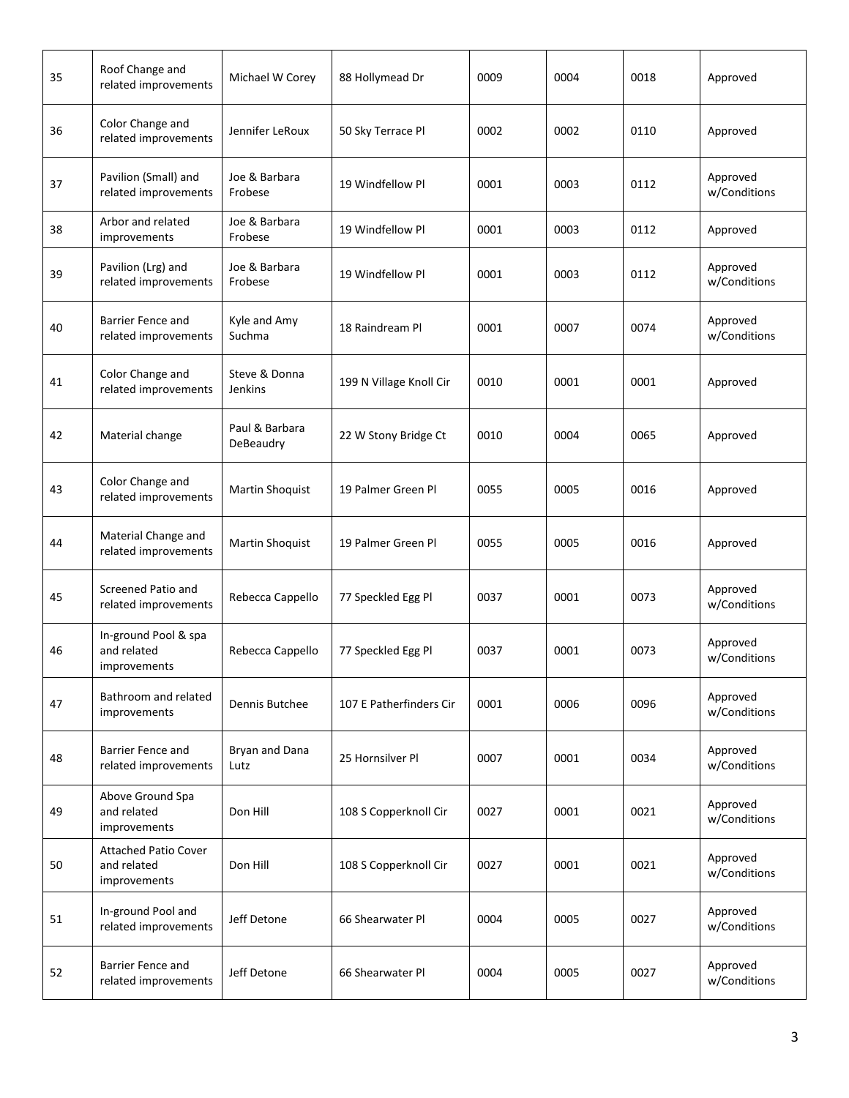| 35 | Roof Change and<br>related improvements                    | Michael W Corey             | 88 Hollymead Dr         | 0009 | 0004 | 0018 | Approved                 |
|----|------------------------------------------------------------|-----------------------------|-------------------------|------|------|------|--------------------------|
| 36 | Color Change and<br>related improvements                   | Jennifer LeRoux             | 50 Sky Terrace Pl       | 0002 | 0002 | 0110 | Approved                 |
| 37 | Pavilion (Small) and<br>related improvements               | Joe & Barbara<br>Frobese    | 19 Windfellow Pl        | 0001 | 0003 | 0112 | Approved<br>w/Conditions |
| 38 | Arbor and related<br>improvements                          | Joe & Barbara<br>Frobese    | 19 Windfellow Pl        | 0001 | 0003 | 0112 | Approved                 |
| 39 | Pavilion (Lrg) and<br>related improvements                 | Joe & Barbara<br>Frobese    | 19 Windfellow Pl        | 0001 | 0003 | 0112 | Approved<br>w/Conditions |
| 40 | Barrier Fence and<br>related improvements                  | Kyle and Amy<br>Suchma      | 18 Raindream Pl         | 0001 | 0007 | 0074 | Approved<br>w/Conditions |
| 41 | Color Change and<br>related improvements                   | Steve & Donna<br>Jenkins    | 199 N Village Knoll Cir | 0010 | 0001 | 0001 | Approved                 |
| 42 | Material change                                            | Paul & Barbara<br>DeBeaudry | 22 W Stony Bridge Ct    | 0010 | 0004 | 0065 | Approved                 |
| 43 | Color Change and<br>related improvements                   | Martin Shoquist             | 19 Palmer Green Pl      | 0055 | 0005 | 0016 | Approved                 |
| 44 | Material Change and<br>related improvements                | Martin Shoquist             | 19 Palmer Green Pl      | 0055 | 0005 | 0016 | Approved                 |
| 45 | <b>Screened Patio and</b><br>related improvements          | Rebecca Cappello            | 77 Speckled Egg Pl      | 0037 | 0001 | 0073 | Approved<br>w/Conditions |
| 46 | In-ground Pool & spa<br>and related<br>improvements        | Rebecca Cappello            | 77 Speckled Egg Pl      | 0037 | 0001 | 0073 | Approved<br>w/Conditions |
| 47 | Bathroom and related<br>improvements                       | Dennis Butchee              | 107 E Patherfinders Cir | 0001 | 0006 | 0096 | Approved<br>w/Conditions |
| 48 | Barrier Fence and<br>related improvements                  | Bryan and Dana<br>Lutz      | 25 Hornsilver Pl        | 0007 | 0001 | 0034 | Approved<br>w/Conditions |
| 49 | Above Ground Spa<br>and related<br>improvements            | Don Hill                    | 108 S Copperknoll Cir   | 0027 | 0001 | 0021 | Approved<br>w/Conditions |
| 50 | <b>Attached Patio Cover</b><br>and related<br>improvements | Don Hill                    | 108 S Copperknoll Cir   | 0027 | 0001 | 0021 | Approved<br>w/Conditions |
| 51 | In-ground Pool and<br>related improvements                 | Jeff Detone                 | 66 Shearwater Pl        | 0004 | 0005 | 0027 | Approved<br>w/Conditions |
| 52 | Barrier Fence and<br>related improvements                  | Jeff Detone                 | 66 Shearwater Pl        | 0004 | 0005 | 0027 | Approved<br>w/Conditions |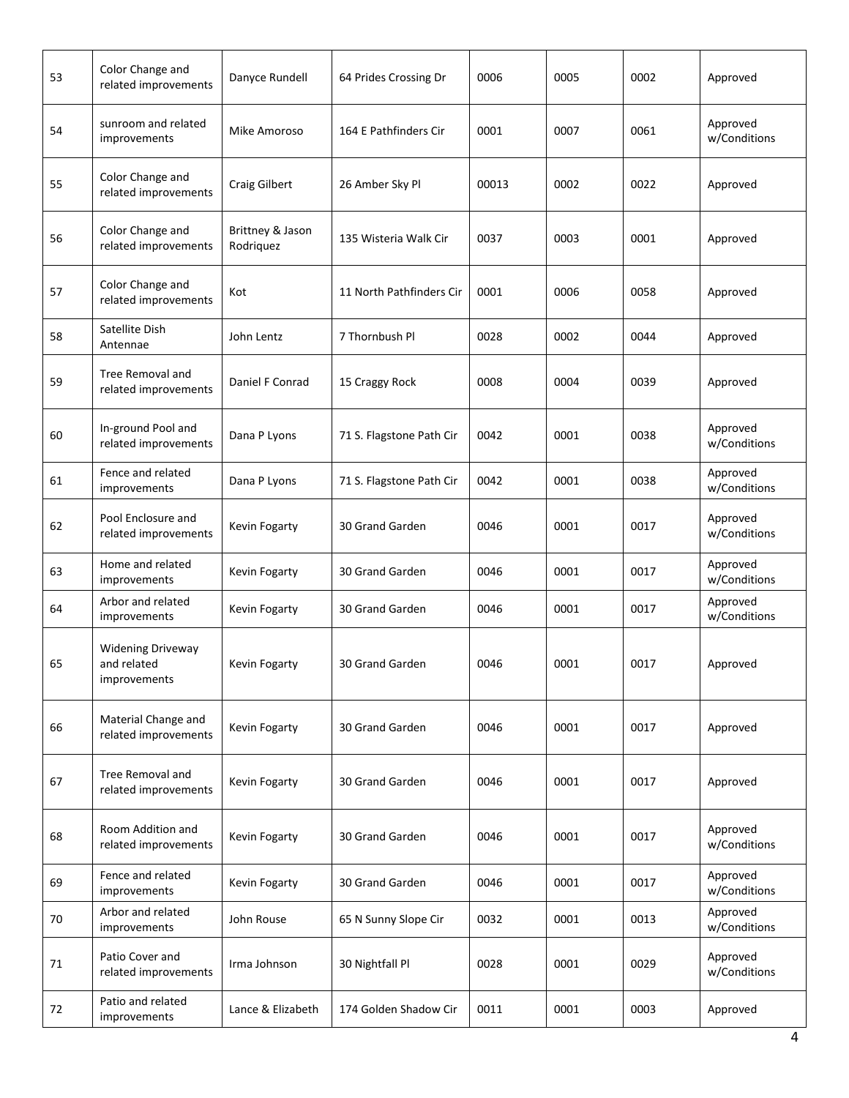| 53 | Color Change and<br>related improvements                | Danyce Rundell                | 64 Prides Crossing Dr    | 0006  | 0005 | 0002 | Approved                 |
|----|---------------------------------------------------------|-------------------------------|--------------------------|-------|------|------|--------------------------|
| 54 | sunroom and related<br>improvements                     | Mike Amoroso                  | 164 E Pathfinders Cir    | 0001  | 0007 | 0061 | Approved<br>w/Conditions |
| 55 | Color Change and<br>related improvements                | <b>Craig Gilbert</b>          | 26 Amber Sky Pl          | 00013 | 0002 | 0022 | Approved                 |
| 56 | Color Change and<br>related improvements                | Brittney & Jason<br>Rodriquez | 135 Wisteria Walk Cir    | 0037  | 0003 | 0001 | Approved                 |
| 57 | Color Change and<br>related improvements                | Kot                           | 11 North Pathfinders Cir | 0001  | 0006 | 0058 | Approved                 |
| 58 | Satellite Dish<br>Antennae                              | John Lentz                    | 7 Thornbush Pl           | 0028  | 0002 | 0044 | Approved                 |
| 59 | Tree Removal and<br>related improvements                | Daniel F Conrad               | 15 Craggy Rock           | 0008  | 0004 | 0039 | Approved                 |
| 60 | In-ground Pool and<br>related improvements              | Dana P Lyons                  | 71 S. Flagstone Path Cir | 0042  | 0001 | 0038 | Approved<br>w/Conditions |
| 61 | Fence and related<br>improvements                       | Dana P Lyons                  | 71 S. Flagstone Path Cir | 0042  | 0001 | 0038 | Approved<br>w/Conditions |
| 62 | Pool Enclosure and<br>related improvements              | Kevin Fogarty                 | 30 Grand Garden          | 0046  | 0001 | 0017 | Approved<br>w/Conditions |
| 63 | Home and related<br>improvements                        | Kevin Fogarty                 | 30 Grand Garden          | 0046  | 0001 | 0017 | Approved<br>w/Conditions |
| 64 | Arbor and related<br>improvements                       | Kevin Fogarty                 | 30 Grand Garden          | 0046  | 0001 | 0017 | Approved<br>w/Conditions |
| 65 | <b>Widening Driveway</b><br>and related<br>improvements | Kevin Fogarty                 | 30 Grand Garden          | 0046  | 0001 | 0017 | Approved                 |
| 66 | Material Change and<br>related improvements             | Kevin Fogarty                 | 30 Grand Garden          | 0046  | 0001 | 0017 | Approved                 |
| 67 | Tree Removal and<br>related improvements                | Kevin Fogarty                 | 30 Grand Garden          | 0046  | 0001 | 0017 | Approved                 |
| 68 | Room Addition and<br>related improvements               | Kevin Fogarty                 | 30 Grand Garden          | 0046  | 0001 | 0017 | Approved<br>w/Conditions |
| 69 | Fence and related<br>improvements                       | Kevin Fogarty                 | 30 Grand Garden          | 0046  | 0001 | 0017 | Approved<br>w/Conditions |
| 70 | Arbor and related<br>improvements                       | John Rouse                    | 65 N Sunny Slope Cir     | 0032  | 0001 | 0013 | Approved<br>w/Conditions |
| 71 | Patio Cover and<br>related improvements                 | Irma Johnson                  | 30 Nightfall Pl          | 0028  | 0001 | 0029 | Approved<br>w/Conditions |
| 72 | Patio and related<br>improvements                       | Lance & Elizabeth             | 174 Golden Shadow Cir    | 0011  | 0001 | 0003 | Approved                 |